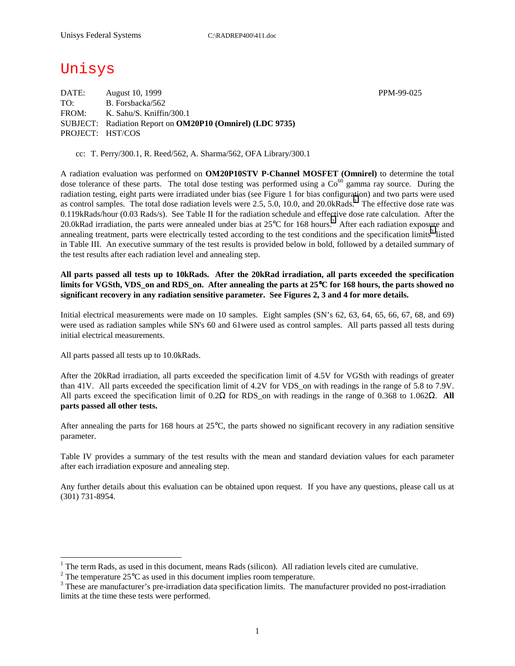Unisys

DATE: August 10, 1999 PPM-99-025 TO: B. Forsbacka/562 FROM: K. Sahu/S. Kniffin/300.1 SUBJECT: Radiation Report on **OM20P10 (Omnirel) (LDC 9735)** PROJECT: HST/COS

cc: T. Perry/300.1, R. Reed/562, A. Sharma/562, OFA Library/300.1

A radiation evaluation was performed on **OM20P10STV P-Channel MOSFET (Omnirel)** to determine the total dose tolerance of these parts. The total dose testing was performed using a  $Co<sup>60</sup>$  gamma ray source. During the radiation testing, eight parts were irradiated under bias (see Figure 1 for bias configuration) and two parts were used as control samples. The total dose radiation levels were 2.5, 5.0, 10.0, and 20.0kRads.<sup>1</sup> The effective dose rate was 0.119kRads/hour (0.03 Rads/s). See Table II for the radiation schedule and effective dose rate calculation. After the 20.0kRad irradiation, the parts were annealed under bias at  $25^{\circ}$ C for 168 hours.<sup>2</sup> After each radiation exposure and annealing treatment, parts were electrically tested according to the test conditions and the specification limits<sup>3</sup> listed in Table III. An executive summary of the test results is provided below in bold, followed by a detailed summary of the test results after each radiation level and annealing step.

**All parts passed all tests up to 10kRads. After the 20kRad irradiation, all parts exceeded the specification limits for VGSth, VDS\_on and RDS\_on. After annealing the parts at 25**°**C for 168 hours, the parts showed no significant recovery in any radiation sensitive parameter. See Figures 2, 3 and 4 for more details.** 

Initial electrical measurements were made on 10 samples. Eight samples (SN's 62, 63, 64, 65, 66, 67, 68, and 69) were used as radiation samples while SN's 60 and 61were used as control samples. All parts passed all tests during initial electrical measurements.

All parts passed all tests up to 10.0kRads.

 $\overline{a}$ 

After the 20kRad irradiation, all parts exceeded the specification limit of 4.5V for VGSth with readings of greater than 41V. All parts exceeded the specification limit of 4.2V for VDS\_on with readings in the range of 5.8 to 7.9V. All parts exceed the specification limit of 0.2Ω for RDS\_on with readings in the range of 0.368 to 1.062Ω. **All parts passed all other tests.**

After annealing the parts for 168 hours at 25°C, the parts showed no significant recovery in any radiation sensitive parameter.

Table IV provides a summary of the test results with the mean and standard deviation values for each parameter after each irradiation exposure and annealing step.

Any further details about this evaluation can be obtained upon request. If you have any questions, please call us at (301) 731-8954.

1

<sup>&</sup>lt;sup>1</sup> The term Rads, as used in this document, means Rads (silicon). All radiation levels cited are cumulative.

<sup>&</sup>lt;sup>2</sup> The temperature 25 $^{\circ}$ C as used in this document implies room temperature.  $^3$  These are manufacturer's are irrediction date apositionism limits. The manufacturer's

<sup>&</sup>lt;sup>3</sup> These are manufacturer's pre-irradiation data specification limits. The manufacturer provided no post-irradiation limits at the time these tests were performed.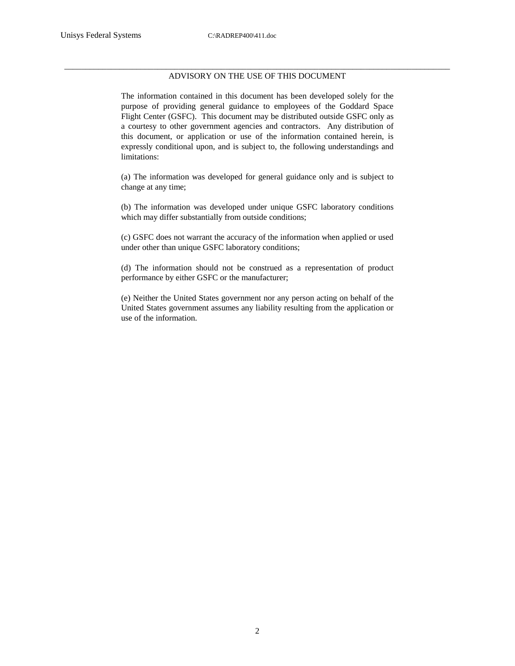## \_\_\_\_\_\_\_\_\_\_\_\_\_\_\_\_\_\_\_\_\_\_\_\_\_\_\_\_\_\_\_\_\_\_\_\_\_\_\_\_\_\_\_\_\_\_\_\_\_\_\_\_\_\_\_\_\_\_\_\_\_\_\_\_\_\_\_\_\_\_\_\_\_\_\_\_\_\_\_\_\_\_\_\_\_\_\_\_\_\_\_ ADVISORY ON THE USE OF THIS DOCUMENT

The information contained in this document has been developed solely for the purpose of providing general guidance to employees of the Goddard Space Flight Center (GSFC). This document may be distributed outside GSFC only as a courtesy to other government agencies and contractors. Any distribution of this document, or application or use of the information contained herein, is expressly conditional upon, and is subject to, the following understandings and limitations:

(a) The information was developed for general guidance only and is subject to change at any time;

(b) The information was developed under unique GSFC laboratory conditions which may differ substantially from outside conditions;

(c) GSFC does not warrant the accuracy of the information when applied or used under other than unique GSFC laboratory conditions;

(d) The information should not be construed as a representation of product performance by either GSFC or the manufacturer;

(e) Neither the United States government nor any person acting on behalf of the United States government assumes any liability resulting from the application or use of the information.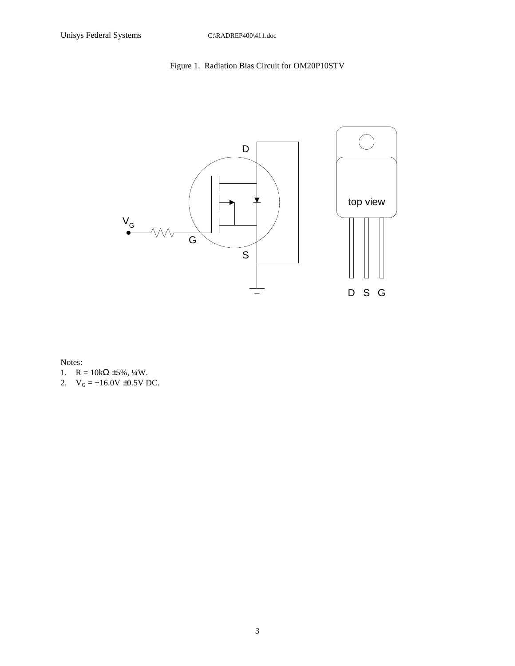## Figure 1. Radiation Bias Circuit for OM20P10STV



Notes:

- 1.  $R = 10k\Omega \pm 5\%, \frac{1}{4}W$ .
- 2.  $V_G = +16.0V \pm 0.5V$  DC.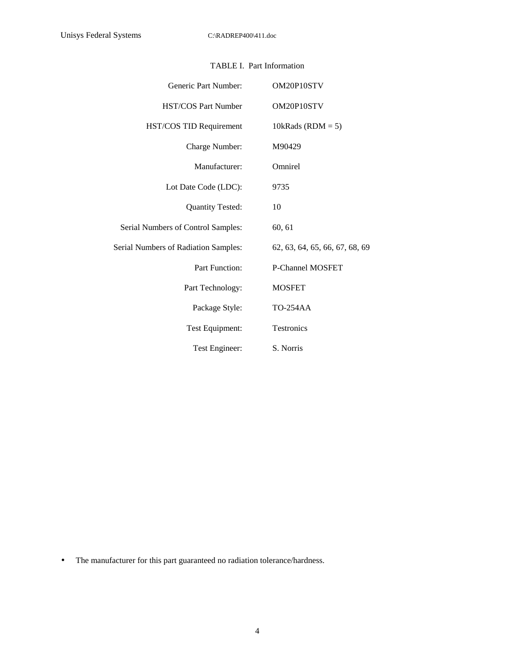| Generic Part Number:                 | OM20P10STV                     |
|--------------------------------------|--------------------------------|
| <b>HST/COS Part Number</b>           | OM20P10STV                     |
| HST/COS TID Requirement              | 10kRads ( $RDM = 5$ )          |
| Charge Number:                       | M90429                         |
| Manufacturer:                        | Omnirel                        |
| Lot Date Code (LDC):                 | 9735                           |
| <b>Quantity Tested:</b>              | 10                             |
| Serial Numbers of Control Samples:   | 60, 61                         |
| Serial Numbers of Radiation Samples: | 62, 63, 64, 65, 66, 67, 68, 69 |
| <b>Part Function:</b>                | <b>P-Channel MOSFET</b>        |
| Part Technology:                     | <b>MOSFET</b>                  |
| Package Style:                       | <b>TO-254AA</b>                |
| Test Equipment:                      | Testronics                     |
| Test Engineer:                       | S. Norris                      |

## TABLE I. Part Information

• The manufacturer for this part guaranteed no radiation tolerance/hardness.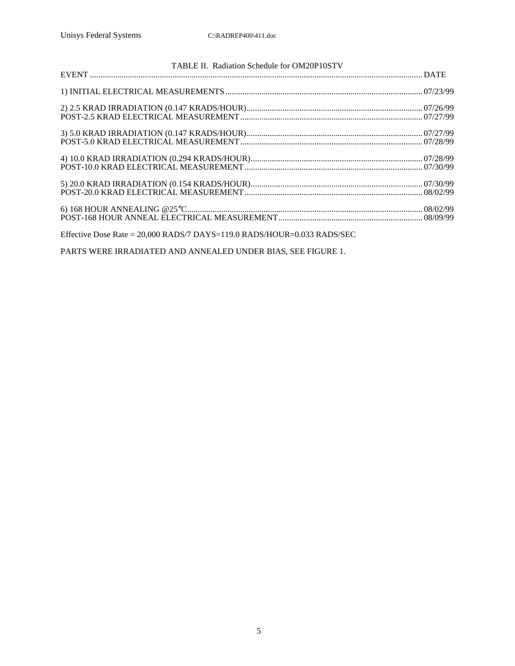| TABLE II. Radiation Schedule for OM20P10STV |  |
|---------------------------------------------|--|
|                                             |  |
|                                             |  |
|                                             |  |
|                                             |  |
|                                             |  |
|                                             |  |
|                                             |  |
|                                             |  |

Effective Dose Rate = 20,000 RADS/7 DAYS=119.0 RADS/HOUR=0.033 RADS/SEC

PARTS WERE IRRADIATED AND ANNEALED UNDER BIAS, SEE FIGURE 1.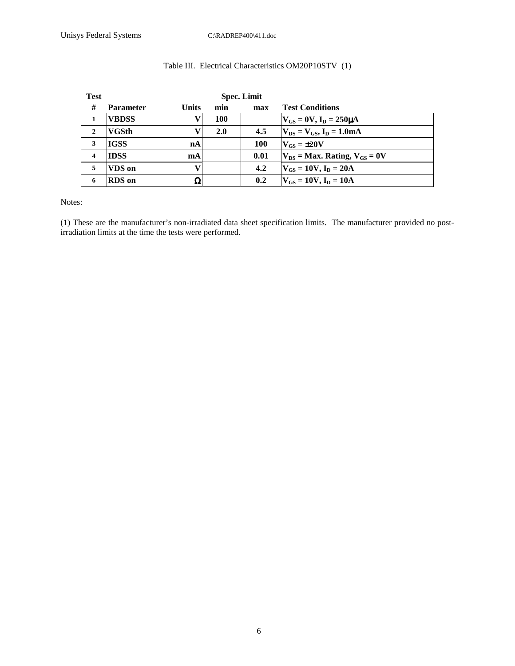| <b>Test</b>             | <b>Spec. Limit</b> |              |     |            |                                           |
|-------------------------|--------------------|--------------|-----|------------|-------------------------------------------|
| #                       | <b>Parameter</b>   | <b>Units</b> | min | max        | <b>Test Conditions</b>                    |
|                         | <b>VBDSS</b>       |              | 100 |            | $V_{GS} = 0V$ , $I_D = 250 \mu A$         |
| $\overline{2}$          | <b>VGSth</b>       |              | 2.0 | 4.5        | $V_{DS} = V_{GS}$ , $I_D = 1.0 \text{mA}$ |
| 3                       | <b>IGSS</b>        | nA           |     | <b>100</b> | $V_{GS} = \pm 20V$                        |
| $\overline{\mathbf{4}}$ | <b>IDSS</b>        | mA           |     | 0.01       | $V_{DS}$ = Max. Rating, $V_{GS}$ = 0V     |
| 5                       | VDS on             |              |     | 4.2        | $V_{GS} = 10V, I_D = 20A$                 |
| 6                       | <b>RDS</b> on      | Ω            |     | 0.2        | $V_{GS} = 10V, I_D = 10A$                 |

## Table III. Electrical Characteristics OM20P10STV (1)

Notes:

(1) These are the manufacturer's non-irradiated data sheet specification limits. The manufacturer provided no postirradiation limits at the time the tests were performed.